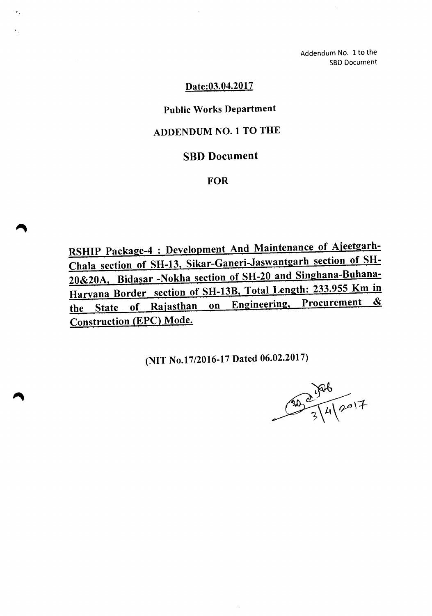Addendum No. 1 to the SBD Document

## Date:03.04.2017

×.

# Public Works Department

## ADDENDUM NO.1 TO THE

## SBD Document

#### **FOR**

RSHIP Package-4 : Development And Maintenance of Ajeetgarh-Chala section of SH-13, Sikar-Ganeri-Jaswantgarh section of SH-20&20A, Bidasar -Nokha section of SH-20 and Singhana-Buhana-Haryana Border section of SH-13B, Total Length: 233.955 Km in the State of Rajasthan on Engineering, Procurement & Construction (EPC) Mode.

(NIT No.17/2016-17 Dated 06.02.2017)

30 0 1926